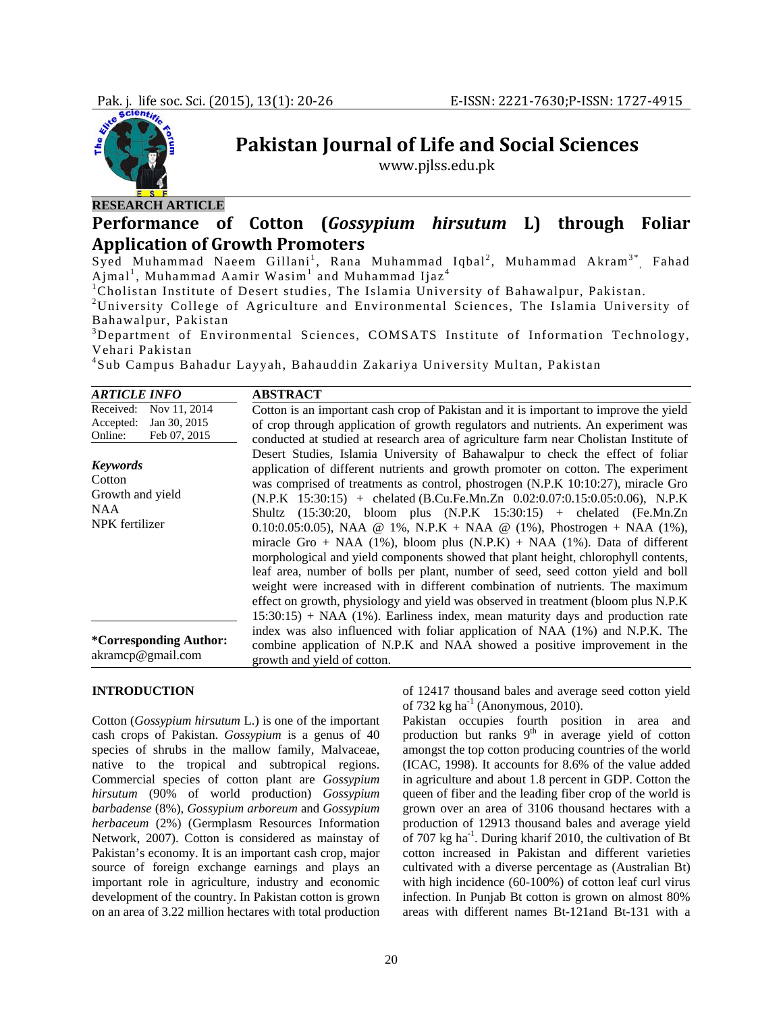

**Pakistan Journal of Life and Social Sciences**

www.pjlss.edu.pk

# **RESEARCH ARTICLE Performance of Cotton (***Gossypium hirsutum* **L) through Foliar**

## **Application of Growth Promoters**

Syed Muhammad Naeem Gillani<sup>1</sup>, Rana Muhammad Iqbal<sup>2</sup>, Muhammad Akram<sup>3\*</sup>, Fahad  $\mathrm{Ajmal}^1$ , Muhammad Aamir Wasim $^1$  and Muhammad Ijaz $^4$ 

<sup>1</sup>Cholistan Institute of Desert studies, The Islamia University of Bahawalpur, Pakistan.

<sup>2</sup>University College of Agriculture and Environmental Sciences, The Islamia University of Bahawalpur, Pakistan

<sup>3</sup>Department of Environmental Sciences, COMSATS Institute of Information Technology, Vehari Pakistan

4 Sub Campus Bahadur Layyah, Bahauddin Zakariya University Multan, Pakistan

| <b>ARTICLE INFO</b>                                                               | <b>ABSTRACT</b>                                                                                                                                                                                                                                                                                                                                                                                                                                                                                                                                                                                                                                                                                                                                                                                                                                                                                                                                                                                                                                |
|-----------------------------------------------------------------------------------|------------------------------------------------------------------------------------------------------------------------------------------------------------------------------------------------------------------------------------------------------------------------------------------------------------------------------------------------------------------------------------------------------------------------------------------------------------------------------------------------------------------------------------------------------------------------------------------------------------------------------------------------------------------------------------------------------------------------------------------------------------------------------------------------------------------------------------------------------------------------------------------------------------------------------------------------------------------------------------------------------------------------------------------------|
| Nov 11, 2014<br>Received:<br>Jan 30, 2015<br>Accepted:<br>Feb 07, 2015<br>Online: | Cotton is an important cash crop of Pakistan and it is important to improve the yield<br>of crop through application of growth regulators and nutrients. An experiment was<br>conducted at studied at research area of agriculture farm near Cholistan Institute of                                                                                                                                                                                                                                                                                                                                                                                                                                                                                                                                                                                                                                                                                                                                                                            |
| <b>Keywords</b><br>Cotton<br>Growth and yield<br>NAA<br>NPK fertilizer            | Desert Studies, Islamia University of Bahawalpur to check the effect of foliar<br>application of different nutrients and growth promoter on cotton. The experiment<br>was comprised of treatments as control, phostrogen (N.P.K 10:10:27), miracle Gro<br>$(N.P.K 15:30:15)$ + chelated (B.Cu.Fe.Mn.Zn 0.02:0.07:0.15:0.05:0.06), N.P.K<br>Shultz $(15:30:20, \text{bloom} \text{plus} (N.P.K \quad 15:30:15) + \text{chelated} (Fe.Mn.Zn)$<br>0.10:0.05:0.05), NAA @ 1%, N.P.K + NAA @ (1%), Phostrogen + NAA (1%),<br>miracle Gro + NAA $(1\%)$ , bloom plus $(N.P.K)$ + NAA $(1\%)$ . Data of different<br>morphological and yield components showed that plant height, chlorophyll contents,<br>leaf area, number of bolls per plant, number of seed, seed cotton yield and boll<br>weight were increased with in different combination of nutrients. The maximum<br>effect on growth, physiology and yield was observed in treatment (bloom plus N.P.K)<br>$15:30:15$ + NAA (1%). Earliness index, mean maturity days and production rate |
| *Corresponding Author:<br>akramcp@gmail.com                                       | index was also influenced with foliar application of NAA (1%) and N.P.K. The<br>combine application of N.P.K and NAA showed a positive improvement in the<br>growth and yield of cotton.                                                                                                                                                                                                                                                                                                                                                                                                                                                                                                                                                                                                                                                                                                                                                                                                                                                       |

#### **INTRODUCTION**

Cotton (*Gossypium hirsutum* L.) is one of the important cash crops of Pakistan. *Gossypium* is a genus of 40 species of shrubs in the mallow family, Malvaceae, native to the tropical and subtropical regions. Commercial species of cotton plant are *Gossypium hirsutum* (90% of world production) *Gossypium barbadense* (8%), *Gossypium arboreum* and *Gossypium herbaceum* (2%) (Germplasm Resources Information Network, 2007). Cotton is considered as mainstay of Pakistan's economy. It is an important cash crop, major source of foreign exchange earnings and plays an important role in agriculture, industry and economic development of the country. In Pakistan cotton is grown on an area of 3.22 million hectares with total production

of 12417 thousand bales and average seed cotton yield of 732 kg ha<sup>-1</sup> (Anonymous, 2010).

Pakistan occupies fourth position in area and production but ranks  $9<sup>th</sup>$  in average yield of cotton amongst the top cotton producing countries of the world (ICAC, 1998). It accounts for 8.6% of the value added in agriculture and about 1.8 percent in GDP. Cotton the queen of fiber and the leading fiber crop of the world is grown over an area of 3106 thousand hectares with a production of 12913 thousand bales and average yield of 707 kg ha-1. During kharif 2010, the cultivation of Bt cotton increased in Pakistan and different varieties cultivated with a diverse percentage as (Australian Bt) with high incidence (60-100%) of cotton leaf curl virus infection. In Punjab Bt cotton is grown on almost 80% areas with different names Bt-121and Bt-131 with a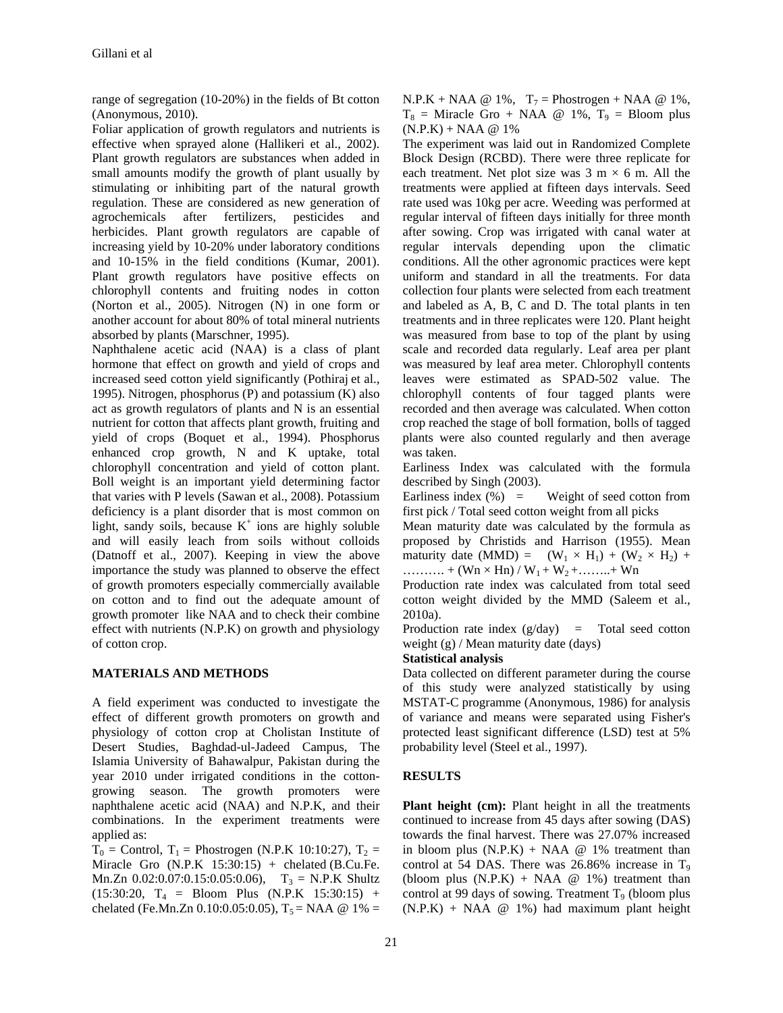range of segregation (10-20%) in the fields of Bt cotton (Anonymous, 2010).

Foliar application of growth regulators and nutrients is effective when sprayed alone (Hallikeri et al., 2002). Plant growth regulators are substances when added in small amounts modify the growth of plant usually by stimulating or inhibiting part of the natural growth regulation. These are considered as new generation of agrochemicals after fertilizers, pesticides and herbicides. Plant growth regulators are capable of increasing yield by 10-20% under laboratory conditions and 10-15% in the field conditions (Kumar, 2001). Plant growth regulators have positive effects on chlorophyll contents and fruiting nodes in cotton (Norton et al., 2005). Nitrogen (N) in one form or another account for about 80% of total mineral nutrients absorbed by plants (Marschner, 1995).

Naphthalene acetic acid (NAA) is a class of plant hormone that effect on growth and yield of crops and increased seed cotton yield significantly (Pothiraj et al., 1995). Nitrogen, phosphorus (P) and potassium (K) also act as growth regulators of plants and N is an essential nutrient for cotton that affects plant growth, fruiting and yield of crops (Boquet et al., 1994). Phosphorus enhanced crop growth, N and K uptake, total chlorophyll concentration and yield of cotton plant. Boll weight is an important yield determining factor that varies with P levels (Sawan et al., 2008). Potassium deficiency is a plant disorder that is most common on light, sandy soils, because  $K^+$  ions are highly soluble and will easily leach from soils without colloids (Datnoff et al., 2007). Keeping in view the above importance the study was planned to observe the effect of growth promoters especially commercially available on cotton and to find out the adequate amount of growth promoter like NAA and to check their combine effect with nutrients (N.P.K) on growth and physiology of cotton crop.

### **MATERIALS AND METHODS**

A field experiment was conducted to investigate the effect of different growth promoters on growth and physiology of cotton crop at Cholistan Institute of Desert Studies, Baghdad-ul-Jadeed Campus, The Islamia University of Bahawalpur, Pakistan during the year 2010 under irrigated conditions in the cottongrowing season. The growth promoters were naphthalene acetic acid (NAA) and N.P.K, and their combinations. In the experiment treatments were applied as:

 $T_0$  = Control,  $T_1$  = Phostrogen (N.P.K 10:10:27),  $T_2$  = Miracle Gro  $(N.P.K 15:30:15)$  + chelated (B.Cu.Fe. Mn.Zn  $0.02:0.07:0.15:0.05:0.06$ ,  $T_3 = N.P.K$  Shultz  $(15:30:20, T<sub>4</sub> = \text{Bloom Plus } (N.P.K 15:30:15) +$ chelated (Fe.Mn.Zn 0.10:0.05:0.05),  $T_5$  = NAA @ 1% =

 $N.P.K + NAA @ 1\%, T_7 = Phostrogen + NAA @ 1\%,$  $T_8$  = Miracle Gro + NAA @ 1%,  $T_9$  = Bloom plus  $(N.P.K) + NAA @ 1%$ 

The experiment was laid out in Randomized Complete Block Design (RCBD). There were three replicate for each treatment. Net plot size was  $3 \text{ m} \times 6 \text{ m}$ . All the treatments were applied at fifteen days intervals. Seed rate used was 10kg per acre. Weeding was performed at regular interval of fifteen days initially for three month after sowing. Crop was irrigated with canal water at regular intervals depending upon the climatic conditions. All the other agronomic practices were kept uniform and standard in all the treatments. For data collection four plants were selected from each treatment and labeled as A, B, C and D. The total plants in ten treatments and in three replicates were 120. Plant height was measured from base to top of the plant by using scale and recorded data regularly. Leaf area per plant was measured by leaf area meter. Chlorophyll contents leaves were estimated as SPAD-502 value. The chlorophyll contents of four tagged plants were recorded and then average was calculated. When cotton crop reached the stage of boll formation, bolls of tagged plants were also counted regularly and then average was taken.

Earliness Index was calculated with the formula described by Singh (2003).

Earliness index  $(\%)$  = Weight of seed cotton from first pick / Total seed cotton weight from all picks

Mean maturity date was calculated by the formula as proposed by Christids and Harrison (1955). Mean maturity date (MMD) =  $(W_1 \times H_1) + (W_2 \times H_2) +$ ………. + (Wn  $\times$  Hn) / W<sub>1</sub> + W<sub>2</sub> +………+ Wn

Production rate index was calculated from total seed cotton weight divided by the MMD (Saleem et al., 2010a).

Production rate index  $(g/day)$  = Total seed cotton weight (g) / Mean maturity date (days)

#### **Statistical analysis**

Data collected on different parameter during the course of this study were analyzed statistically by using MSTAT-C programme (Anonymous, 1986) for analysis of variance and means were separated using Fisher's protected least significant difference (LSD) test at 5% probability level (Steel et al., 1997).

### **RESULTS**

**Plant height (cm):** Plant height in all the treatments continued to increase from 45 days after sowing (DAS) towards the final harvest. There was 27.07% increased in bloom plus  $(N.P.K) + NAA \ @ 1\%$  treatment than control at 54 DAS. There was  $26.86\%$  increase in T<sub>9</sub> (bloom plus  $(N.P.K) + NAA \ @ 1\%$ ) treatment than control at 99 days of sowing. Treatment  $T<sub>9</sub>$  (bloom plus  $(N.P.K) + NAA \ @ 1\%$ ) had maximum plant height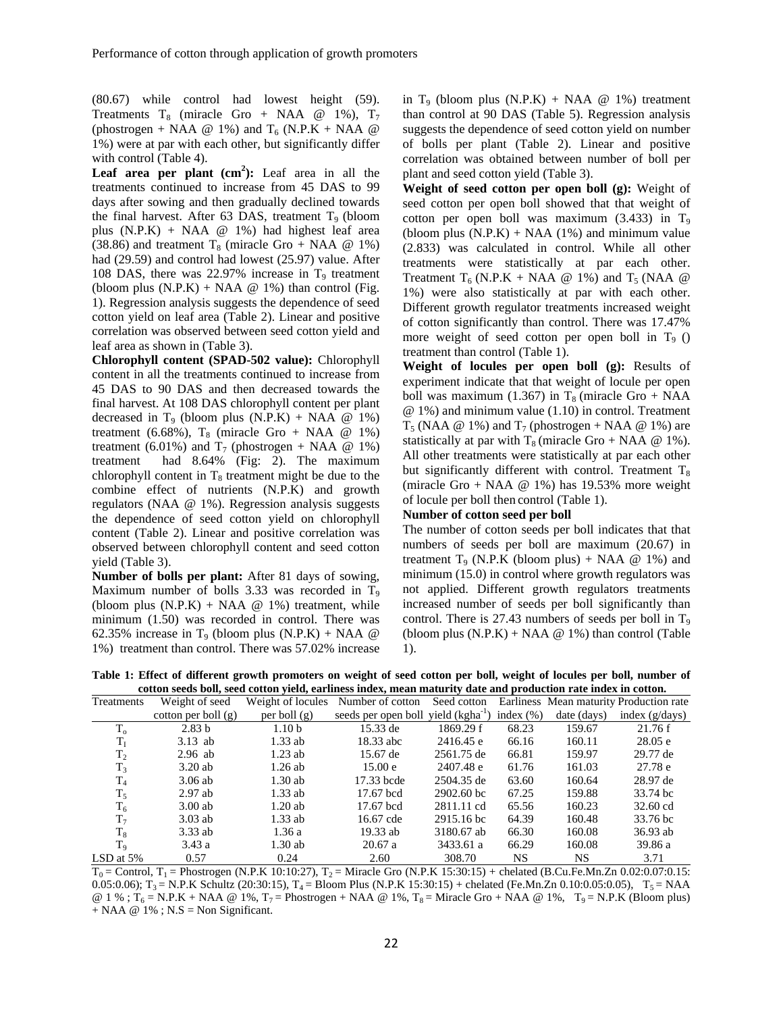(80.67) while control had lowest height (59). Treatments  $T_8$  (miracle Gro + NAA @ 1%),  $T_7$ (phostrogen + NAA  $@$  1%) and  $T_6$  (N.P.K + NAA  $@$ 1%) were at par with each other, but significantly differ with control (Table 4).

**Leaf area per plant**  $(cm^2)$ : Leaf area in all the treatments continued to increase from 45 DAS to 99 days after sowing and then gradually declined towards the final harvest. After 63 DAS, treatment  $T<sub>9</sub>$  (bloom plus (N.P.K) + NAA @ 1%) had highest leaf area (38.86) and treatment  $T_8$  (miracle Gro + NAA  $@1\%$ ) had (29.59) and control had lowest (25.97) value. After 108 DAS, there was 22.97% increase in  $T<sub>9</sub>$  treatment (bloom plus  $(N.P.K) + NAA \t Q 1\%$ ) than control (Fig. 1). Regression analysis suggests the dependence of seed cotton yield on leaf area (Table 2). Linear and positive correlation was observed between seed cotton yield and leaf area as shown in (Table 3).

**Chlorophyll content (SPAD-502 value):** Chlorophyll content in all the treatments continued to increase from 45 DAS to 90 DAS and then decreased towards the final harvest. At 108 DAS chlorophyll content per plant decreased in  $T_9$  (bloom plus  $(N.P.K) + NAA \ @ 1\%$ ) treatment (6.68%),  $T_8$  (miracle Gro + NAA  $\omega$  1%) treatment (6.01%) and  $T_7$  (phostrogen + NAA @ 1%) treatment had 8.64% (Fig: 2). The maximum chlorophyll content in  $T_8$  treatment might be due to the combine effect of nutrients (N.P.K) and growth regulators (NAA @ 1%). Regression analysis suggests the dependence of seed cotton yield on chlorophyll content (Table 2). Linear and positive correlation was observed between chlorophyll content and seed cotton yield (Table 3).

**Number of bolls per plant:** After 81 days of sowing, Maximum number of bolls  $3.33$  was recorded in T<sub>9</sub> (bloom plus  $(N.P.K) + NAA \ @ 1\%$ ) treatment, while minimum (1.50) was recorded in control. There was 62.35% increase in T<sub>9</sub> (bloom plus  $(N.P.K) + NAA \ @$ 1%) treatment than control. There was 57.02% increase

in T<sub>9</sub> (bloom plus  $(N.P.K) + NAA \ @ 1\%$ ) treatment than control at 90 DAS (Table 5). Regression analysis suggests the dependence of seed cotton yield on number of bolls per plant (Table 2). Linear and positive correlation was obtained between number of boll per plant and seed cotton yield (Table 3).

**Weight of seed cotton per open boll (g):** Weight of seed cotton per open boll showed that that weight of cotton per open boll was maximum  $(3.433)$  in T<sub>9</sub> (bloom plus  $(N.P.K) + NAA$  (1%) and minimum value (2.833) was calculated in control. While all other treatments were statistically at par each other. Treatment T<sub>6</sub> (N.P.K + NAA  $@$  1%) and T<sub>5</sub> (NAA  $@$ 1%) were also statistically at par with each other. Different growth regulator treatments increased weight of cotton significantly than control. There was 17.47% more weight of seed cotton per open boll in  $T<sub>9</sub>$  () treatment than control (Table 1).

**Weight of locules per open boll (g):** Results of experiment indicate that that weight of locule per open boll was maximum (1.367) in  $T_8$  (miracle Gro + NAA @ 1%) and minimum value (1.10) in control. Treatment  $T_5$  (NAA @ 1%) and  $T_7$  (phostrogen + NAA @ 1%) are statistically at par with  $T_8$  (miracle Gro + NAA  $\omega$  1%). All other treatments were statistically at par each other but significantly different with control. Treatment  $T_8$ (miracle Gro + NAA @ 1%) has 19.53% more weight of locule per boll then control (Table 1).

#### **Number of cotton seed per boll**

The number of cotton seeds per boll indicates that that numbers of seeds per boll are maximum (20.67) in treatment  $T_9$  (N.P.K (bloom plus) + NAA  $\omega$  1%) and minimum (15.0) in control where growth regulators was not applied. Different growth regulators treatments increased number of seeds per boll significantly than control. There is  $27.43$  numbers of seeds per boll in  $T<sub>9</sub>$ (bloom plus  $(N.P.K) + NAA \ @ 1\%$ ) than control (Table 1).

**Table 1: Effect of different growth promoters on weight of seed cotton per boll, weight of locules per boll, number of cotton seeds boll, seed cotton yield, earliness index, mean maturity date and production rate index in cotton.** 

| Treatments     | Weight of seed        | Weight of locules | Number of cotton                                | Seed cotton |               |             | Earliness Mean maturity Production rate |
|----------------|-----------------------|-------------------|-------------------------------------------------|-------------|---------------|-------------|-----------------------------------------|
|                | cotton per boll $(g)$ | per boll $(g)$    | seeds per open boll yield (kgha <sup>-1</sup> ) |             | index $(\% )$ | date (days) | index $(g/days)$                        |
| $T_{o}$        | 2.83 <sub>b</sub>     | 1.10 <sub>b</sub> | 15.33 de                                        | 1869.29 f   | 68.23         | 159.67      | 21.76f                                  |
| $T_I$          | $3.13$ ab             | $1.33$ ab         | 18.33 abc                                       | 2416.45 e   | 66.16         | 160.11      | 28.05 e                                 |
| T <sub>2</sub> | $2.96$ ab             | $1.23$ ab         | 15.67 de                                        | 2561.75 de  | 66.81         | 159.97      | 29.77 de                                |
| T <sub>3</sub> | 3.20ab                | $1.26$ ab         | 15.00 e                                         | 2407.48 e   | 61.76         | 161.03      | 27.78 e                                 |
| $\rm T_4$      | $3.06$ ab             | 1.30ab            | 17.33 bcde                                      | 2504.35 de  | 63.60         | 160.64      | 28.97 de                                |
| $T_5$          | $2.97$ ab             | $1.33$ ab         | 17.67 bcd                                       | 2902.60 bc  | 67.25         | 159.88      | 33.74 bc                                |
| $T_6$          | $3.00$ ab             | 1.20ab            | 17.67 bcd                                       | 2811.11 cd  | 65.56         | 160.23      | 32.60 cd                                |
| T <sub>7</sub> | $3.03$ ab             | $1.33$ ab         | 16.67 cde                                       | 2915.16 bc  | 64.39         | 160.48      | 33.76 bc                                |
| $T_8$          | $3.33$ ab             | 1.36a             | 19.33 ab                                        | 3180.67 ab  | 66.30         | 160.08      | 36.93 ab                                |
| $T_{9}$        | 3.43a                 | 1.30 ab           | 20.67a                                          | 3433.61 a   | 66.29         | 160.08      | 39.86 a                                 |
| LSD at $5\%$   | 0.57                  | 0.24              | 2.60                                            | 308.70      | <b>NS</b>     | <b>NS</b>   | 3.71                                    |

 $T_0$  = Control, T<sub>1</sub> = Phostrogen (N.P.K 10:10:27), T<sub>2</sub> = Miracle Gro (N.P.K 15:30:15) + chelated (B.Cu.Fe.Mn.Zn 0.02:0.07:0.15: 0.05:0.06);  $T_3 = N.P.K$  Schultz (20:30:15),  $T_4 = B$ loom Plus (N.P.K 15:30:15) + chelated (Fe.Mn.Zn 0.10:0.05:0.05),  $T_5 = NAA$ @ 1 % ;  $T_6$  = N.P.K + NAA @ 1%,  $T_7$  = Phostrogen + NAA @ 1%,  $T_8$  = Miracle Gro + NAA @ 1%,  $T_9$  = N.P.K (Bloom plus)  $+$  NAA  $@$  1%; N.S = Non Significant.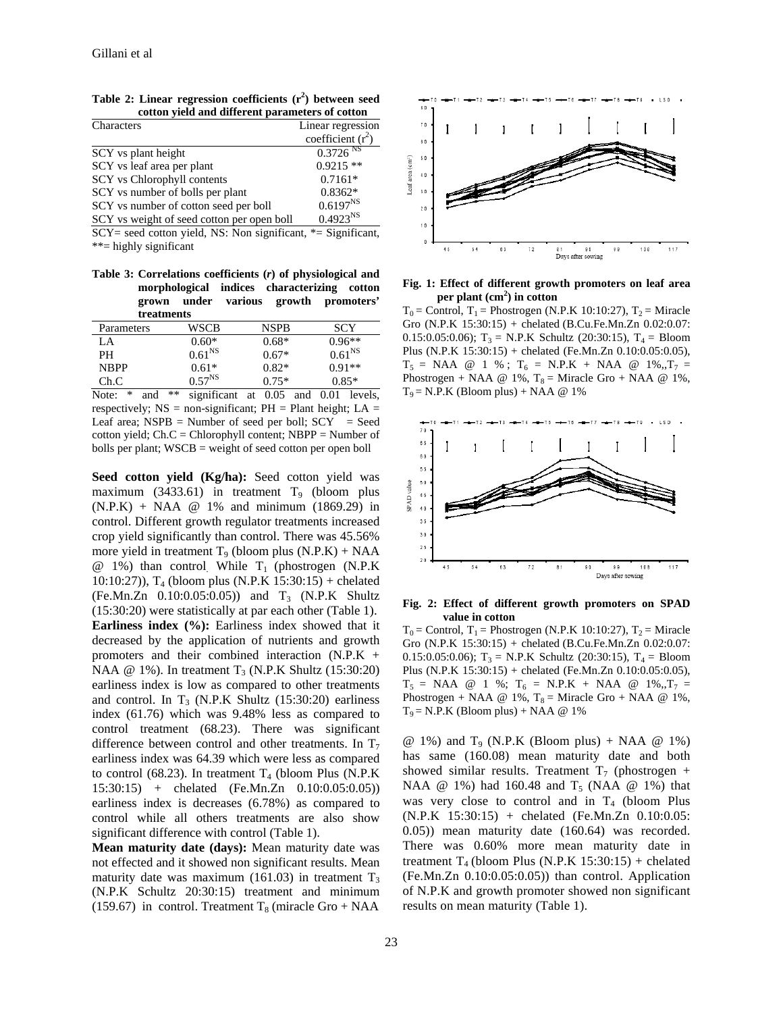|  | Table 2: Linear regression coefficients $(r^2)$ between seed |  |  |
|--|--------------------------------------------------------------|--|--|
|  | cotton yield and different parameters of cotton              |  |  |

| Characters                                 | Linear regression      |
|--------------------------------------------|------------------------|
|                                            | coefficient $(r^2)$    |
| SCY vs plant height                        | $0.3726$ <sup>NS</sup> |
| SCY vs leaf area per plant                 | $0.9215**$             |
| SCY vs Chlorophyll contents                | $0.7161*$              |
| SCY vs number of bolls per plant           | $0.8362*$              |
| SCY vs number of cotton seed per boll      | $0.6197^{NS}$          |
| SCY vs weight of seed cotton per open boll | $0.4923^{NS}$          |

 $SCY =$  seed cotton yield, NS: Non significant,  $* =$  Significant, \*\*= highly significant

**Table 3: Correlations coefficients (***r***) of physiological and morphological indices characterizing cotton grown under various growth promoters' treatments** 

| и сашилиз   |                    |             |             |  |  |  |
|-------------|--------------------|-------------|-------------|--|--|--|
| Parameters  | WSCB               | <b>NSPR</b> | <b>SCY</b>  |  |  |  |
| LA          | $0.60*$            | $0.68*$     | $0.96**$    |  |  |  |
| PН          | 0.61 <sup>NS</sup> | $0.67*$     | $0.61^{NS}$ |  |  |  |
| <b>NBPP</b> | $0.61*$            | $0.82*$     | $0.91**$    |  |  |  |
| Ch.C        | $0.57^{NS}$        | $0.75*$     | $0.85*$     |  |  |  |

Note: \* and \*\* significant at 0.05 and 0.01 levels, respectively;  $NS = non-significant$ ;  $PH = Plant height$ ;  $LA =$ Leaf area;  $NSPB =$  Number of seed per boll;  $SCY =$  Seed cotton yield; Ch.C = Chlorophyll content; NBPP = Number of bolls per plant; WSCB = weight of seed cotton per open boll

**Seed cotton yield (Kg/ha):** Seed cotton yield was maximum (3433.61) in treatment  $T_9$  (bloom plus (N.P.K) + NAA @ 1% and minimum (1869.29) in control. Different growth regulator treatments increased crop yield significantly than control. There was 45.56% more yield in treatment  $T_9$  (bloom plus  $(N.P.K) + NAA$  $@$  1%) than control. While  $T_1$  (phostrogen (N.P.K) 10:10:27)),  $T_4$  (bloom plus (N.P.K 15:30:15) + chelated  $(Fe.Mn.Zn \quad 0.10:0.05:0.05)$  and  $T_3$  (N.P.K Shultz (15:30:20) were statistically at par each other (Table 1). **Earliness index (%):** Earliness index showed that it decreased by the application of nutrients and growth promoters and their combined interaction (N.P.K + NAA  $\omega$  1%). In treatment T<sub>3</sub> (N.P.K Shultz (15:30:20) earliness index is low as compared to other treatments and control. In  $T_3$  (N.P.K Shultz (15:30:20) earliness index (61.76) which was 9.48% less as compared to control treatment (68.23). There was significant difference between control and other treatments. In  $T_7$ earliness index was 64.39 which were less as compared to control (68.23). In treatment  $T_4$  (bloom Plus (N.P.K) 15:30:15) + chelated (Fe.Mn.Zn 0.10:0.05:0.05)) earliness index is decreases (6.78%) as compared to control while all others treatments are also show significant difference with control (Table 1).

**Mean maturity date (days):** Mean maturity date was not effected and it showed non significant results. Mean maturity date was maximum (161.03) in treatment  $T_3$ (N.P.K Schultz 20:30:15) treatment and minimum (159.67) in control. Treatment  $T_8$  (miracle Gro + NAA



**Fig. 1: Effect of different growth promoters on leaf area per plant (cm2 ) in cotton** 

 $T_0$  = Control,  $T_1$  = Phostrogen (N.P.K 10:10:27),  $T_2$  = Miracle Gro (N.P.K 15:30:15) + chelated (B.Cu.Fe.Mn.Zn 0.02:0.07: 0.15:0.05:0.06);  $T_3$  = N.P.K Schultz (20:30:15),  $T_4$  = Bloom Plus (N.P.K 15:30:15) + chelated (Fe.Mn.Zn 0.10:0.05:0.05),  $T_5$  = NAA @ 1 %;  $T_6$  = N.P.K + NAA @ 1%,, $T_7$  = Phostrogen + NAA @ 1%,  $T_8$  = Miracle Gro + NAA @ 1%,  $T_9$  = N.P.K (Bloom plus) + NAA @ 1%



**Fig. 2: Effect of different growth promoters on SPAD value in cotton** 

 $T_0$  = Control,  $T_1$  = Phostrogen (N.P.K 10:10:27),  $T_2$  = Miracle Gro (N.P.K 15:30:15) + chelated (B.Cu.Fe.Mn.Zn 0.02:0.07: 0.15:0.05:0.06);  $T_3$  = N.P.K Schultz (20:30:15),  $T_4$  = Bloom Plus (N.P.K 15:30:15) + chelated (Fe.Mn.Zn 0.10:0.05:0.05),  $T_5$  = NAA @ 1 %;  $T_6$  = N.P.K + NAA @ 1%,  $T_7$  = Phostrogen + NAA @ 1%,  $T_8$  = Miracle Gro + NAA @ 1%,  $T_9$  = N.P.K (Bloom plus) + NAA @ 1%

 $@1\%$ ) and T<sub>9</sub> (N.P.K (Bloom plus) + NAA  $@1\%$ ) has same (160.08) mean maturity date and both showed similar results. Treatment  $T_7$  (phostrogen + NAA  $@$  1%) had 160.48 and  $T_5$  (NAA  $@$  1%) that was very close to control and in  $T_4$  (bloom Plus (N.P.K 15:30:15) + chelated (Fe.Mn.Zn 0.10:0.05: 0.05)) mean maturity date (160.64) was recorded. There was 0.60% more mean maturity date in treatment  $T_4$  (bloom Plus (N.P.K 15:30:15) + chelated (Fe.Mn.Zn 0.10:0.05:0.05)) than control. Application of N.P.K and growth promoter showed non significant results on mean maturity (Table 1).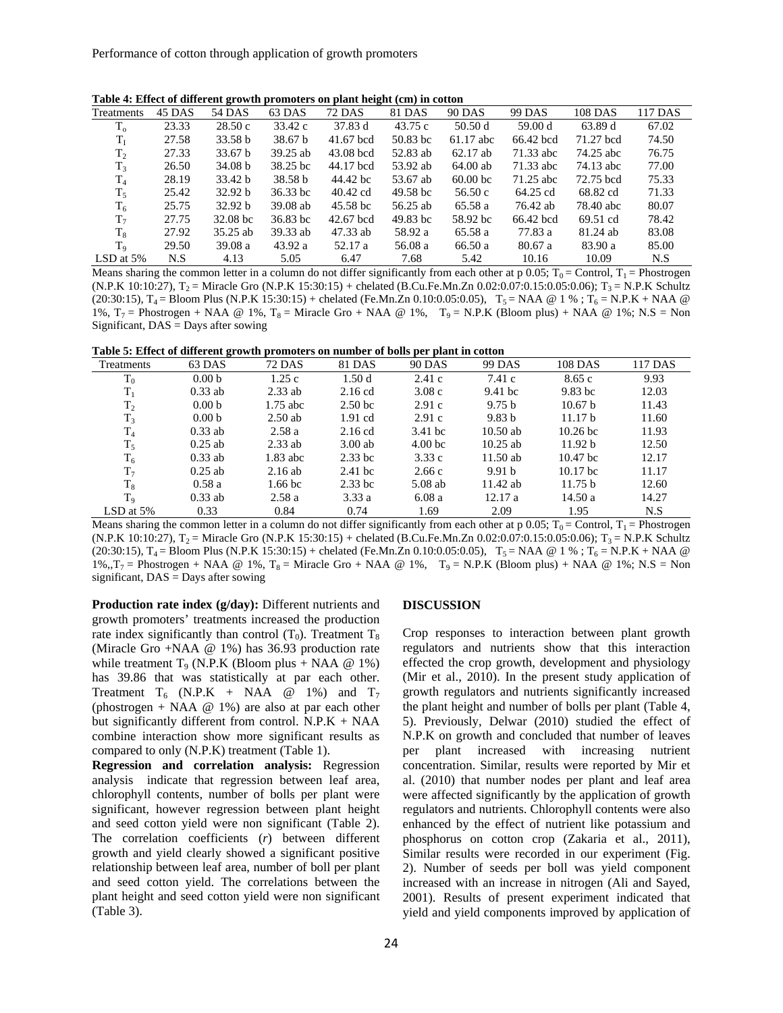**Table 4: Effect of different growth promoters on plant height (cm) in cotton**

| Treatments     | 45 DAS | 54 DAS             | 63 DAS             | <b>72 DAS</b> | 81 DAS              | <b>90 DAS</b>       | 99 DAS    | 108 DAS   | 117 DAS |
|----------------|--------|--------------------|--------------------|---------------|---------------------|---------------------|-----------|-----------|---------|
| $T_{o}$        | 23.33  | 28.50c             | 33.42 c            | 37.83 d       | 43.75 c             | 50.50d              | 59.00 d   | 63.89 d   | 67.02   |
| $T_{\rm I}$    | 27.58  | 33.58 <sub>b</sub> | 38.67 <sub>b</sub> | $41.67$ bcd   | $50.83$ bc          | $61.17$ abc         | 66.42 bcd | 71.27 bcd | 74.50   |
| T <sub>2</sub> | 27.33  | 33.67 b            | 39.25 ab           | $43.08$ bcd   | 52.83 ab            | $62.17$ ab          | 71.33 abc | 74.25 abc | 76.75   |
| $T_3$          | 26.50  | 34.08 b            | 38.25 bc           | 44.17 bcd     | 53.92 ab            | 64.00 ab            | 71.33 abc | 74.13 abc | 77.00   |
| $T_{4}$        | 28.19  | 33.42 b            | 38.58 <sub>b</sub> | 44.42 bc      | 53.67 ab            | 60.00 <sub>bc</sub> | 71.25 abc | 72.75 bcd | 75.33   |
| $T_5$          | 25.42  | 32.92 b            | $36.33$ bc         | 40.42 cd      | 49.58 <sub>bc</sub> | 56.50c              | 64.25 cd  | 68.82 cd  | 71.33   |
| $T_6$          | 25.75  | 32.92 b            | $39.08$ ab         | 45.58 bc      | 56.25 ab            | 65.58 a             | 76.42 ab  | 78.40 abc | 80.07   |
| T <sub>7</sub> | 27.75  | $32.08$ bc         | $36.83$ bc         | $42.67$ bcd   | $49.83$ bc          | 58.92 bc            | 66.42 bcd | 69.51 cd  | 78.42   |
| $T_8$          | 27.92  | $35.25$ ab         | 39.33 ab           | 47.33 ab      | 58.92 a             | 65.58 a             | 77.83 a   | 81.24 ab  | 83.08   |
| $T_{9}$        | 29.50  | 39.08a             | 43.92 a            | 52.17 a       | 56.08 a             | 66.50 a             | 80.67a    | 83.90 a   | 85.00   |
| LSD at $5%$    | N.S    | 4.13               | 5.05               | 6.47          | 7.68                | 5.42                | 10.16     | 10.09     | N.S     |

Means sharing the common letter in a column do not differ significantly from each other at p 0.05;  $T_0 =$  Control,  $T_1 =$  Phostrogen (N.P.K 10:10:27),  $T_2$  = Miracle Gro (N.P.K 15:30:15) + chelated (B.Cu.Fe.Mn.Zn 0.02:0.07:0.15:0.05:0.06);  $T_3$  = N.P.K Schultz  $(20:30:15)$ ,  $T_4$  = Bloom Plus (N.P.K 15:30:15) + chelated (Fe.Mn.Zn 0.10:0.05:0.05),  $T_5$  = NAA @ 1 %;  $T_6$  = N.P.K + NAA @ 1%,  $T_7$  = Phostrogen + NAA @ 1%,  $T_8$  = Miracle Gro + NAA @ 1%,  $T_9$  = N.P.K (Bloom plus) + NAA @ 1%; N.S = Non Significant,  $DAS =$ Days after sowing

| Treatments     | $-$<br>63 DAS     | <b>72 DAS</b>      | 81 DAS             | <b>90 DAS</b>      | <b>99 DAS</b>     | 108 DAS             | 117 DAS |
|----------------|-------------------|--------------------|--------------------|--------------------|-------------------|---------------------|---------|
| $T_0$          | 0.00 <sub>b</sub> | 1.25c              | 1.50d              | 2.41c              | 7.41c             | 8.65c               | 9.93    |
| $T_1$          | $0.33$ ab         | $2.33$ ab          | $2.16$ cd          | 3.08c              | $9.41$ bc         | $9.83$ bc           | 12.03   |
| $T_2$          | 0.00 <sub>b</sub> | $1.75$ abc         | 2.50 <sub>bc</sub> | 2.91c              | 9.75 <sub>b</sub> | 10.67 <sub>b</sub>  | 11.43   |
| $T_3$          | 0.00 <sub>b</sub> | $2.50$ ab          | $1.91$ cd          | 2.91c              | 9.83 <sub>b</sub> | 11.17 <sub>b</sub>  | 11.60   |
| T <sub>4</sub> | $0.33$ ab         | 2.58a              | $2.16$ cd          | 3.41 bc            | $10.50$ ab        | $10.26$ bc          | 11.93   |
| $T_5$          | $0.25$ ab         | $2.33$ ab          | $3.00$ ab          | 4.00 <sub>bc</sub> | $10.25$ ab        | 11.92 b             | 12.50   |
| $T_6$          | $0.33$ ab         | $1.83$ abc         | $2.33$ bc          | 3.33c              | $11.50$ ab        | 10.47 <sub>bc</sub> | 12.17   |
| $T_7$          | $0.25$ ab         | 2.16ab             | $2.41$ bc          | 2.66c              | 9.91 <sub>b</sub> | 10.17 <sub>bc</sub> | 11.17   |
| $T_8$          | 0.58a             | 1.66 <sub>bc</sub> | $2.33$ bc          | $5.08$ ab          | 11.42 ab          | 11.75 b             | 12.60   |
| T <sub>9</sub> | $0.33$ ab         | 2.58a              | 3.33a              | 6.08a              | 12.17a            | 14.50a              | 14.27   |
| LSD at $5\%$   | 0.33              | 0.84               | 0.74               | 1.69               | 2.09              | 1.95                | N.S     |

Means sharing the common letter in a column do not differ significantly from each other at p 0.05;  $T_0 =$  Control,  $T_1 =$  Phostrogen (N.P.K 10:10:27),  $T_2$  = Miracle Gro (N.P.K 15:30:15) + chelated (B.Cu.Fe.Mn.Zn 0.02:0.07:0.15:0.05:0.06);  $T_3$  = N.P.K Schultz  $(20:30:15)$ ,  $T_4 =$  Bloom Plus (N.P.K 15:30:15) + chelated (Fe.Mn.Zn 0.10:0.05:0.05),  $T_5 = NAA \otimes 1\%$ ;  $T_6 = N.P.K + NAA \otimes 1\%$  $1\%, T_7$  = Phostrogen + NAA @ 1%,  $T_8$  = Miracle Gro + NAA @ 1%,  $T_9$  = N.P.K (Bloom plus) + NAA @ 1%; N.S = Non significant,  $DAS = Days$  after sowing

**Production rate index (g/day):** Different nutrients and growth promoters' treatments increased the production rate index significantly than control  $(T_0)$ . Treatment  $T_8$ (Miracle Gro +NAA @ 1%) has 36.93 production rate while treatment  $T_9$  (N.P.K (Bloom plus + NAA  $@1\%$ ) has 39.86 that was statistically at par each other. Treatment  $T_6$  (N.P.K + NAA @ 1%) and  $T_7$ (phostrogen + NAA  $@$  1%) are also at par each other but significantly different from control.  $N.P.K + NAA$ combine interaction show more significant results as compared to only (N.P.K) treatment (Table 1).

**Regression and correlation analysis:** Regression analysis indicate that regression between leaf area, chlorophyll contents, number of bolls per plant were significant, however regression between plant height and seed cotton yield were non significant (Table 2). The correlation coefficients (*r*) between different growth and yield clearly showed a significant positive relationship between leaf area, number of boll per plant and seed cotton yield. The correlations between the plant height and seed cotton yield were non significant (Table 3).

#### **DISCUSSION**

Crop responses to interaction between plant growth regulators and nutrients show that this interaction effected the crop growth, development and physiology (Mir et al., 2010). In the present study application of growth regulators and nutrients significantly increased the plant height and number of bolls per plant (Table 4, 5). Previously, Delwar (2010) studied the effect of N.P.K on growth and concluded that number of leaves per plant increased with increasing nutrient concentration. Similar, results were reported by Mir et al. (2010) that number nodes per plant and leaf area were affected significantly by the application of growth regulators and nutrients. Chlorophyll contents were also enhanced by the effect of nutrient like potassium and phosphorus on cotton crop (Zakaria et al., 2011), Similar results were recorded in our experiment (Fig. 2). Number of seeds per boll was yield component increased with an increase in nitrogen (Ali and Sayed, 2001). Results of present experiment indicated that yield and yield components improved by application of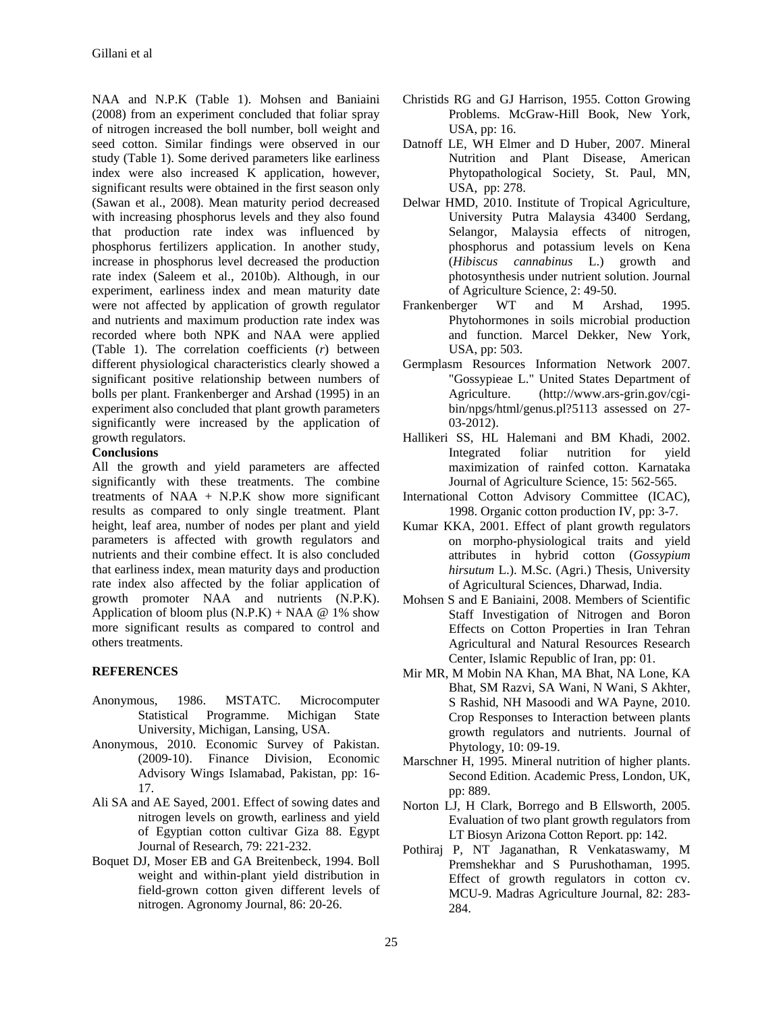NAA and N.P.K (Table 1). Mohsen and Baniaini (2008) from an experiment concluded that foliar spray of nitrogen increased the boll number, boll weight and seed cotton. Similar findings were observed in our study (Table 1). Some derived parameters like earliness index were also increased K application, however, significant results were obtained in the first season only (Sawan et al., 2008). Mean maturity period decreased with increasing phosphorus levels and they also found that production rate index was influenced by phosphorus fertilizers application. In another study, increase in phosphorus level decreased the production rate index (Saleem et al., 2010b). Although, in our experiment, earliness index and mean maturity date were not affected by application of growth regulator and nutrients and maximum production rate index was recorded where both NPK and NAA were applied (Table 1). The correlation coefficients (*r*) between different physiological characteristics clearly showed a significant positive relationship between numbers of bolls per plant. Frankenberger and Arshad (1995) in an experiment also concluded that plant growth parameters significantly were increased by the application of growth regulators.

### **Conclusions**

All the growth and yield parameters are affected significantly with these treatments. The combine treatments of  $NAA + N.P.K$  show more significant results as compared to only single treatment. Plant height, leaf area, number of nodes per plant and yield parameters is affected with growth regulators and nutrients and their combine effect. It is also concluded that earliness index, mean maturity days and production rate index also affected by the foliar application of growth promoter NAA and nutrients (N.P.K). Application of bloom plus  $(N.P.K) + NAA \ @ 1\%$  show more significant results as compared to control and others treatments.

### **REFERENCES**

- Anonymous, 1986. MSTATC. Microcomputer Statistical Programme. Michigan State University, Michigan, Lansing, USA.
- Anonymous, 2010. Economic Survey of Pakistan. (2009-10). Finance Division, Economic Advisory Wings Islamabad, Pakistan, pp: 16- 17.
- Ali SA and AE Sayed, 2001. Effect of sowing dates and nitrogen levels on growth, earliness and yield of Egyptian cotton cultivar Giza 88. Egypt Journal of Research, 79: 221-232.
- Boquet DJ, Moser EB and GA Breitenbeck, 1994. Boll weight and within-plant yield distribution in field-grown cotton given different levels of nitrogen. Agronomy Journal, 86: 20-26.
- Christids RG and GJ Harrison, 1955. Cotton Growing Problems. McGraw-HiIl Book, New York, USA, pp: 16.
- Datnoff LE, WH Elmer and D Huber, 2007. Mineral Nutrition and Plant Disease, American Phytopathological Society, St. Paul, MN, USA, pp: 278.
- Delwar HMD, 2010. Institute of Tropical Agriculture, University Putra Malaysia 43400 Serdang, Selangor, Malaysia effects of nitrogen, phosphorus and potassium levels on Kena (*Hibiscus cannabinus* L.) growth and photosynthesis under nutrient solution. Journal of Agriculture Science, 2: 49-50.
- Frankenberger WT and M Arshad, 1995. Phytohormones in soils microbial production and function. Marcel Dekker, New York, USA, pp: 503.
- Germplasm Resources Information Network 2007. "Gossypieae L." United States Department of Agriculture. (http://www.ars-grin.gov/cgibin/npgs/html/genus.pl?5113 assessed on 27- 03-2012).
- Hallikeri SS, HL Halemani and BM Khadi, 2002. Integrated foliar nutrition for yield maximization of rainfed cotton. Karnataka Journal of Agriculture Science, 15: 562-565.
- International Cotton Advisory Committee (ICAC), 1998. Organic cotton production IV, pp: 3-7.
- Kumar KKA, 2001. Effect of plant growth regulators on morpho-physiological traits and yield attributes in hybrid cotton (*Gossypium hirsutum* L.). M.Sc. (Agri.) Thesis, University of Agricultural Sciences, Dharwad, India.
- Mohsen S and E Baniaini, 2008. Members of Scientific Staff Investigation of Nitrogen and Boron Effects on Cotton Properties in Iran Tehran Agricultural and Natural Resources Research Center, Islamic Republic of Iran, pp: 01.
- Mir MR, M Mobin NA Khan, MA Bhat, NA Lone, KA Bhat, SM Razvi, SA Wani, N Wani, S Akhter, S Rashid, NH Masoodi and WA Payne, 2010. Crop Responses to Interaction between plants growth regulators and nutrients. Journal of Phytology, 10: 09-19.
- Marschner H, 1995. Mineral nutrition of higher plants. Second Edition. Academic Press, London, UK, pp: 889.
- Norton LJ, H Clark, Borrego and B Ellsworth, 2005. Evaluation of two plant growth regulators from LT Biosyn Arizona Cotton Report. pp: 142.
- Pothiraj P, NT Jaganathan, R Venkataswamy, M Premshekhar and S Purushothaman, 1995. Effect of growth regulators in cotton cv. MCU-9. Madras Agriculture Journal, 82: 283- 284.